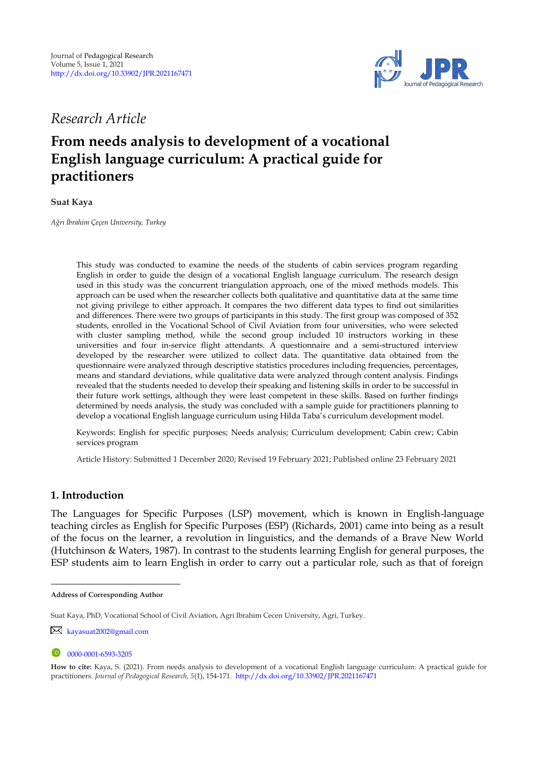

*Research Article* 

# **From needs analysis to development of a vocational English language curriculum: A practical guide for practitioners**

### **Suat Kaya**

*Ağrı İbrahim Çeçen University, Turkey* 

This study was conducted to examine the needs of the students of cabin services program regarding English in order to guide the design of a vocational English language curriculum. The research design used in this study was the concurrent triangulation approach, one of the mixed methods models. This approach can be used when the researcher collects both qualitative and quantitative data at the same time not giving privilege to either approach. It compares the two different data types to find out similarities and differences. There were two groups of participants in this study. The first group was composed of 352 students, enrolled in the Vocational School of Civil Aviation from four universities, who were selected with cluster sampling method, while the second group included 10 instructors working in these universities and four in-service flight attendants. A questionnaire and a semi-structured interview developed by the researcher were utilized to collect data. The quantitative data obtained from the questionnaire were analyzed through descriptive statistics procedures including frequencies, percentages, means and standard deviations, while qualitative data were analyzed through content analysis. Findings revealed that the students needed to develop their speaking and listening skills in order to be successful in their future work settings, although they were least competent in these skills. Based on further findings determined by needs analysis, the study was concluded with a sample guide for practitioners planning to develop a vocational English language curriculum using Hilda Taba's curriculum development model.

Keywords: English for specific purposes; Needs analysis; Curriculum development; Cabin crew; Cabin services program

Article History: Submitted 1 December 2020; Revised 19 February 2021; Published online 23 February 2021

# **1. Introduction**

The Languages for Specific Purposes (LSP) movement, which is known in English-language teaching circles as English for Specific Purposes (ESP) (Richards, 2001) came into being as a result of the focus on the learner, a revolution in linguistics, and the demands of a Brave New World (Hutchinson & Waters, 1987). In contrast to the students learning English for general purposes, the ESP students aim to learn English in order to carry out a particular role, such as that of foreign

**Address of Corresponding Author**

Suat Kaya, PhD, Vocational School of Civil Aviation, Agri Ibrahim Cecen University, Agri, Turkey.

[kayasuat2002@gmail.com](mailto:kayasuat2002@gmail.com)

<sup>0000-0001-6593-3205</sup> 

**How to cite:** Kaya, S. (2021). From needs analysis to development of a vocational English language curriculum: A practical guide for practitioners. *Journal of Pedagogical Research, 5*(1), 154-171.<http://dx.doi.org/10.33902/JPR.2021167471>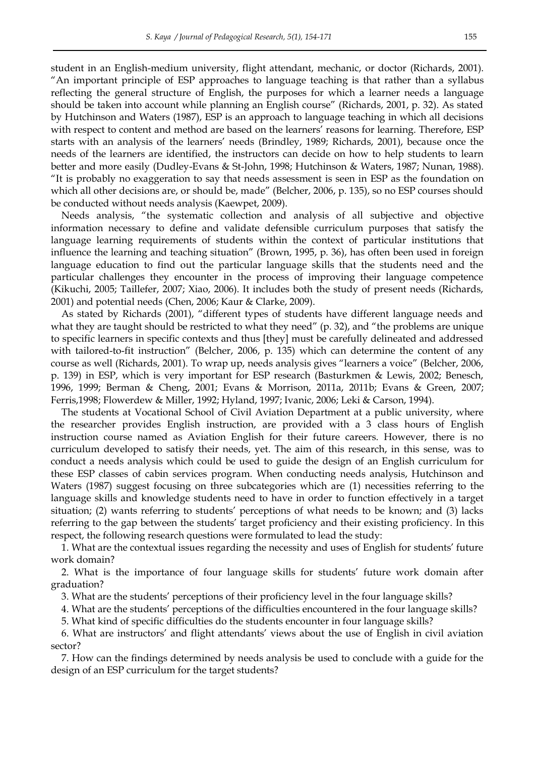student in an English-medium university, flight attendant, mechanic, or doctor (Richards, 2001).

"An important principle of ESP approaches to language teaching is that rather than a syllabus reflecting the general structure of English, the purposes for which a learner needs a language should be taken into account while planning an English course" (Richards, 2001, p. 32). As stated by Hutchinson and Waters (1987), ESP is an approach to language teaching in which all decisions with respect to content and method are based on the learners' reasons for learning. Therefore, ESP starts with an analysis of the learners' needs (Brindley, 1989; Richards, 2001), because once the needs of the learners are identified, the instructors can decide on how to help students to learn better and more easily (Dudley-Evans & St-John, 1998; Hutchinson & Waters, 1987; Nunan, 1988). "It is probably no exaggeration to say that needs assessment is seen in ESP as the foundation on which all other decisions are, or should be, made" (Belcher, 2006, p. 135), so no ESP courses should be conducted without needs analysis (Kaewpet, 2009).

Needs analysis, "the systematic collection and analysis of all subjective and objective information necessary to define and validate defensible curriculum purposes that satisfy the language learning requirements of students within the context of particular institutions that influence the learning and teaching situation" (Brown, 1995, p. 36), has often been used in foreign language education to find out the particular language skills that the students need and the particular challenges they encounter in the process of improving their language competence (Kikuchi, 2005; Taillefer, 2007; Xiao, 2006). It includes both the study of present needs (Richards, 2001) and potential needs (Chen, 2006; Kaur & Clarke, 2009).

As stated by Richards (2001), "different types of students have different language needs and what they are taught should be restricted to what they need" (p. 32), and "the problems are unique to specific learners in specific contexts and thus [they] must be carefully delineated and addressed with tailored-to-fit instruction" (Belcher, 2006, p. 135) which can determine the content of any course as well (Richards, 2001). To wrap up, needs analysis gives "learners a voice" (Belcher, 2006, p. 139) in ESP, which is very important for ESP research (Basturkmen & Lewis, 2002; Benesch, 1996, 1999; Berman & Cheng, 2001; Evans & Morrison, 2011a, 2011b; Evans & Green, 2007; Ferris,1998; Flowerdew & Miller, 1992; Hyland, 1997; Ivanic, 2006; Leki & Carson, 1994).

The students at Vocational School of Civil Aviation Department at a public university, where the researcher provides English instruction, are provided with a 3 class hours of English instruction course named as Aviation English for their future careers. However, there is no curriculum developed to satisfy their needs, yet. The aim of this research, in this sense, was to conduct a needs analysis which could be used to guide the design of an English curriculum for these ESP classes of cabin services program. When conducting needs analysis, Hutchinson and Waters (1987) suggest focusing on three subcategories which are (1) necessities referring to the language skills and knowledge students need to have in order to function effectively in a target situation; (2) wants referring to students' perceptions of what needs to be known; and (3) lacks referring to the gap between the students' target proficiency and their existing proficiency. In this respect, the following research questions were formulated to lead the study:

1. What are the contextual issues regarding the necessity and uses of English for students' future work domain?

2. What is the importance of four language skills for students' future work domain after graduation?

3. What are the students' perceptions of their proficiency level in the four language skills?

4. What are the students' perceptions of the difficulties encountered in the four language skills?

5. What kind of specific difficulties do the students encounter in four language skills?

6. What are instructors' and flight attendants' views about the use of English in civil aviation sector?

7. How can the findings determined by needs analysis be used to conclude with a guide for the design of an ESP curriculum for the target students?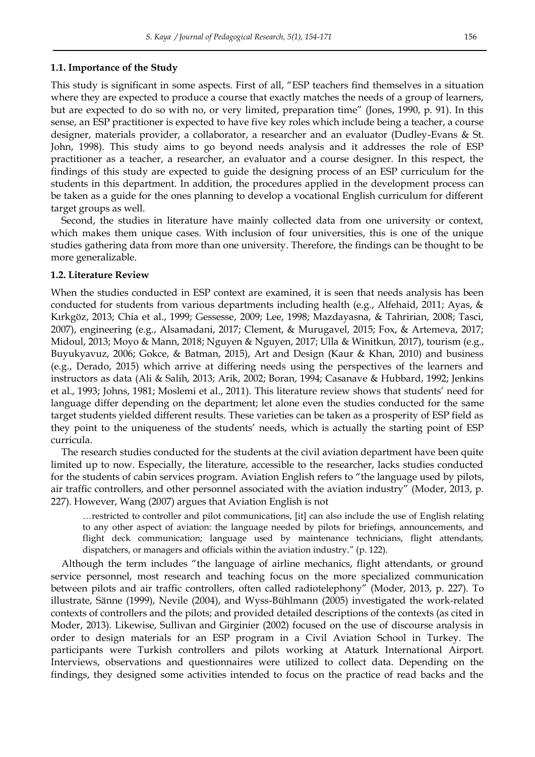### **1.1. Importance of the Study**

This study is significant in some aspects. First of all, "ESP teachers find themselves in a situation where they are expected to produce a course that exactly matches the needs of a group of learners, but are expected to do so with no, or very limited, preparation time" (Jones, 1990, p. 91). In this sense, an ESP practitioner is expected to have five key roles which include being a teacher, a course designer, materials provider, a collaborator, a researcher and an evaluator (Dudley-Evans & St. John, 1998). This study aims to go beyond needs analysis and it addresses the role of ESP practitioner as a teacher, a researcher, an evaluator and a course designer. In this respect, the findings of this study are expected to guide the designing process of an ESP curriculum for the students in this department. In addition, the procedures applied in the development process can be taken as a guide for the ones planning to develop a vocational English curriculum for different target groups as well.

Second, the studies in literature have mainly collected data from one university or context, which makes them unique cases. With inclusion of four universities, this is one of the unique studies gathering data from more than one university. Therefore, the findings can be thought to be more generalizable.

### **1.2. Literature Review**

When the studies conducted in ESP context are examined, it is seen that needs analysis has been conducted for students from various departments including health (e.g., Alfehaid, 2011; Ayas, & Kırkgöz, 2013; Chia et al., 1999; Gessesse, 2009; Lee, 1998; Mazdayasna, & Tahririan, 2008; Tasci, 2007), engineering (e.g., Alsamadani, 2017; Clement, & Murugavel, 2015; Fox, & Artemeva, 2017; Midoul, 2013; Moyo & Mann, 2018; Nguyen & Nguyen, 2017; Ulla & Winitkun, 2017), tourism (e.g., Buyukyavuz, 2006; Gokce, & Batman, 2015), Art and Design (Kaur & Khan, 2010) and business (e.g., Derado, 2015) which arrive at differing needs using the perspectives of the learners and instructors as data (Ali & Salih, 2013; Arik, 2002; Boran, 1994; Casanave & Hubbard, 1992; Jenkins et al., 1993; Johns, 1981; Moslemi et al., 2011). This literature review shows that students' need for language differ depending on the department; let alone even the studies conducted for the same target students yielded different results. These varieties can be taken as a prosperity of ESP field as they point to the uniqueness of the students' needs, which is actually the starting point of ESP curricula.

The research studies conducted for the students at the civil aviation department have been quite limited up to now. Especially, the literature, accessible to the researcher, lacks studies conducted for the students of cabin services program. Aviation English refers to "the language used by pilots, air traffic controllers, and other personnel associated with the aviation industry" (Moder, 2013, p. 227). However, Wang (2007) argues that Aviation English is not

…restricted to controller and pilot communications, [it] can also include the use of English relating to any other aspect of aviation: the language needed by pilots for briefings, announcements, and flight deck communication; language used by maintenance technicians, flight attendants, dispatchers, or managers and officials within the aviation industry." (p. 122).

Although the term includes "the language of airline mechanics, flight attendants, or ground service personnel, most research and teaching focus on the more specialized communication between pilots and air traffic controllers, often called radiotelephony" (Moder, 2013, p. 227). To illustrate, Sänne (1999), Nevile (2004), and Wyss-Bühlmann (2005) investigated the work-related contexts of controllers and the pilots; and provided detailed descriptions of the contexts (as cited in Moder, 2013). Likewise, Sullivan and Girginier (2002) focused on the use of discourse analysis in order to design materials for an ESP program in a Civil Aviation School in Turkey. The participants were Turkish controllers and pilots working at Ataturk International Airport. Interviews, observations and questionnaires were utilized to collect data. Depending on the findings, they designed some activities intended to focus on the practice of read backs and the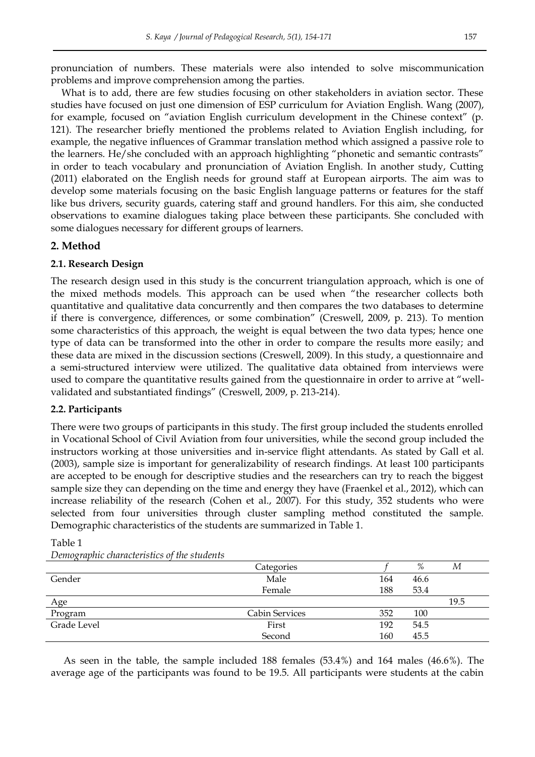pronunciation of numbers. These materials were also intended to solve miscommunication problems and improve comprehension among the parties.

What is to add, there are few studies focusing on other stakeholders in aviation sector. These studies have focused on just one dimension of ESP curriculum for Aviation English. Wang (2007), for example, focused on "aviation English curriculum development in the Chinese context" (p. 121). The researcher briefly mentioned the problems related to Aviation English including, for example, the negative influences of Grammar translation method which assigned a passive role to the learners. He/she concluded with an approach highlighting "phonetic and semantic contrasts" in order to teach vocabulary and pronunciation of Aviation English. In another study, Cutting (2011) elaborated on the English needs for ground staff at European airports. The aim was to develop some materials focusing on the basic English language patterns or features for the staff like bus drivers, security guards, catering staff and ground handlers. For this aim, she conducted observations to examine dialogues taking place between these participants. She concluded with some dialogues necessary for different groups of learners.

### **2. Method**

### **2.1. Research Design**

The research design used in this study is the concurrent triangulation approach, which is one of the mixed methods models. This approach can be used when "the researcher collects both quantitative and qualitative data concurrently and then compares the two databases to determine if there is convergence, differences, or some combination" (Creswell, 2009, p. 213). To mention some characteristics of this approach, the weight is equal between the two data types; hence one type of data can be transformed into the other in order to compare the results more easily; and these data are mixed in the discussion sections (Creswell, 2009). In this study, a questionnaire and a semi-structured interview were utilized. The qualitative data obtained from interviews were used to compare the quantitative results gained from the questionnaire in order to arrive at "wellvalidated and substantiated findings" (Creswell, 2009, p. 213-214).

### **2.2. Participants**

Table 1

There were two groups of participants in this study. The first group included the students enrolled in Vocational School of Civil Aviation from four universities, while the second group included the instructors working at those universities and in-service flight attendants. As stated by Gall et al. (2003), sample size is important for generalizability of research findings. At least 100 participants are accepted to be enough for descriptive studies and the researchers can try to reach the biggest sample size they can depending on the time and energy they have (Fraenkel et al., 2012), which can increase reliability of the research (Cohen et al., 2007). For this study, 352 students who were selected from four universities through cluster sampling method constituted the sample. Demographic characteristics of the students are summarized in Table 1.

|             | Categories     |     | %    | М    |
|-------------|----------------|-----|------|------|
| Gender      | Male           | 164 | 46.6 |      |
|             | Female         | 188 | 53.4 |      |
| Age         |                |     |      | 19.5 |
| Program     | Cabin Services | 352 | 100  |      |
| Grade Level | First          | 192 | 54.5 |      |
|             | Second         | 160 | 45.5 |      |

*Demographic characteristics of the students* 

As seen in the table, the sample included 188 females (53.4%) and 164 males (46.6%). The average age of the participants was found to be 19.5. All participants were students at the cabin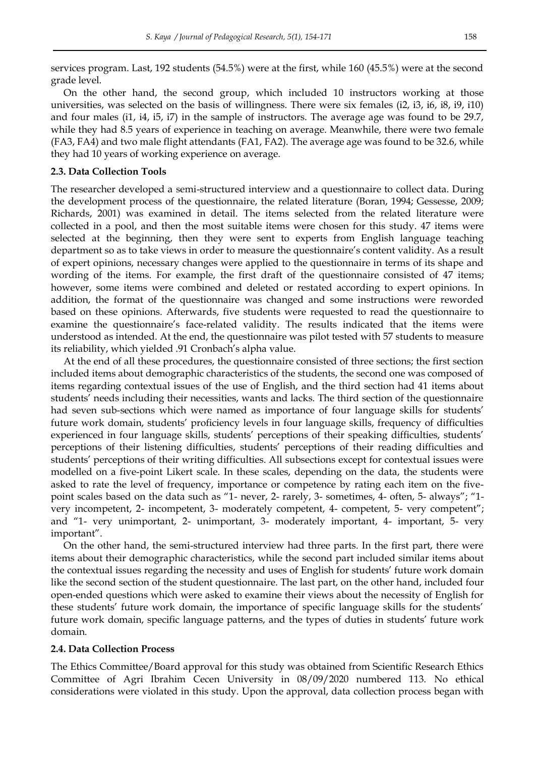services program. Last, 192 students (54.5%) were at the first, while 160 (45.5%) were at the second grade level.

On the other hand, the second group, which included 10 instructors working at those universities, was selected on the basis of willingness. There were six females (i2, i3, i6, i8, i9, i10) and four males (i1, i4, i5, i7) in the sample of instructors. The average age was found to be 29.7, while they had 8.5 years of experience in teaching on average. Meanwhile, there were two female (FA3, FA4) and two male flight attendants (FA1, FA2). The average age was found to be 32.6, while they had 10 years of working experience on average.

### **2.3. Data Collection Tools**

The researcher developed a semi-structured interview and a questionnaire to collect data. During the development process of the questionnaire, the related literature (Boran, 1994; Gessesse, 2009; Richards, 2001) was examined in detail. The items selected from the related literature were collected in a pool, and then the most suitable items were chosen for this study. 47 items were selected at the beginning, then they were sent to experts from English language teaching department so as to take views in order to measure the questionnaire's content validity. As a result of expert opinions, necessary changes were applied to the questionnaire in terms of its shape and wording of the items. For example, the first draft of the questionnaire consisted of 47 items; however, some items were combined and deleted or restated according to expert opinions. In addition, the format of the questionnaire was changed and some instructions were reworded based on these opinions. Afterwards, five students were requested to read the questionnaire to examine the questionnaire's face-related validity. The results indicated that the items were understood as intended. At the end, the questionnaire was pilot tested with 57 students to measure its reliability, which yielded .91 Cronbach's alpha value.

At the end of all these procedures, the questionnaire consisted of three sections; the first section included items about demographic characteristics of the students, the second one was composed of items regarding contextual issues of the use of English, and the third section had 41 items about students' needs including their necessities, wants and lacks. The third section of the questionnaire had seven sub-sections which were named as importance of four language skills for students' future work domain, students' proficiency levels in four language skills, frequency of difficulties experienced in four language skills, students' perceptions of their speaking difficulties, students' perceptions of their listening difficulties, students' perceptions of their reading difficulties and students' perceptions of their writing difficulties. All subsections except for contextual issues were modelled on a five-point Likert scale. In these scales, depending on the data, the students were asked to rate the level of frequency, importance or competence by rating each item on the fivepoint scales based on the data such as "1- never, 2- rarely, 3- sometimes, 4- often, 5- always"; "1 very incompetent, 2- incompetent, 3- moderately competent, 4- competent, 5- very competent"; and "1- very unimportant, 2- unimportant, 3- moderately important, 4- important, 5- very important".

On the other hand, the semi-structured interview had three parts. In the first part, there were items about their demographic characteristics, while the second part included similar items about the contextual issues regarding the necessity and uses of English for students' future work domain like the second section of the student questionnaire. The last part, on the other hand, included four open-ended questions which were asked to examine their views about the necessity of English for these students' future work domain, the importance of specific language skills for the students' future work domain, specific language patterns, and the types of duties in students' future work domain.

### **2.4. Data Collection Process**

The Ethics Committee/Board approval for this study was obtained from Scientific Research Ethics Committee of Agri Ibrahim Cecen University in 08/09/2020 numbered 113. No ethical considerations were violated in this study. Upon the approval, data collection process began with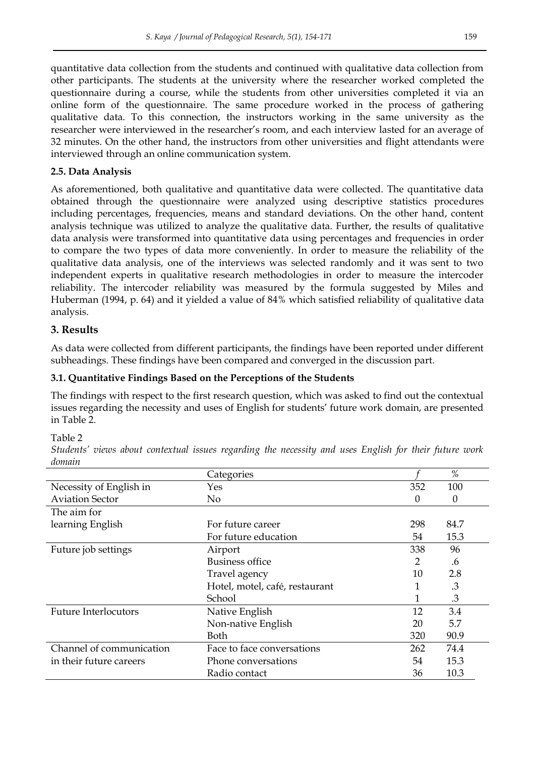quantitative data collection from the students and continued with qualitative data collection from other participants. The students at the university where the researcher worked completed the questionnaire during a course, while the students from other universities completed it via an online form of the questionnaire. The same procedure worked in the process of gathering qualitative data. To this connection, the instructors working in the same university as the researcher were interviewed in the researcher's room, and each interview lasted for an average of 32 minutes. On the other hand, the instructors from other universities and flight attendants were interviewed through an online communication system.

# **2.5. Data Analysis**

As aforementioned, both qualitative and quantitative data were collected. The quantitative data obtained through the questionnaire were analyzed using descriptive statistics procedures including percentages, frequencies, means and standard deviations. On the other hand, content analysis technique was utilized to analyze the qualitative data. Further, the results of qualitative data analysis were transformed into quantitative data using percentages and frequencies in order to compare the two types of data more conveniently. In order to measure the reliability of the qualitative data analysis, one of the interviews was selected randomly and it was sent to two independent experts in qualitative research methodologies in order to measure the intercoder reliability. The intercoder reliability was measured by the formula suggested by Miles and Huberman (1994, p. 64) and it yielded a value of 84% which satisfied reliability of qualitative data analysis.

# **3. Results**

As data were collected from different participants, the findings have been reported under different subheadings. These findings have been compared and converged in the discussion part.

# **3.1. Quantitative Findings Based on the Perceptions of the Students**

The findings with respect to the first research question, which was asked to find out the contextual issues regarding the necessity and uses of English for students' future work domain, are presented in Table 2.

# Table 2

*Students' views about contextual issues regarding the necessity and uses English for their future work domain* 

|                             | Categories                     |     | %             |
|-----------------------------|--------------------------------|-----|---------------|
| Necessity of English in     | Yes                            | 352 | 100           |
| <b>Aviation Sector</b>      | No                             | 0   | $\theta$      |
| The aim for                 |                                |     |               |
| learning English            | For future career              | 298 | 84.7          |
|                             | For future education           | 54  | 15.3          |
| Future job settings         | Airport                        | 338 | 96            |
|                             | Business office                | 2   | .6            |
|                             | Travel agency                  | 10  | 2.8           |
|                             | Hotel, motel, café, restaurant | 1   | .3            |
|                             | School                         | 1   | $\mathcal{A}$ |
| <b>Future Interlocutors</b> | Native English                 | 12  | 3.4           |
|                             | Non-native English             | 20  | 5.7           |
|                             | Both                           | 320 | 90.9          |
| Channel of communication    | Face to face conversations     | 262 | 74.4          |
| in their future careers     | Phone conversations            | 54  | 15.3          |
|                             | Radio contact                  | 36  | 10.3          |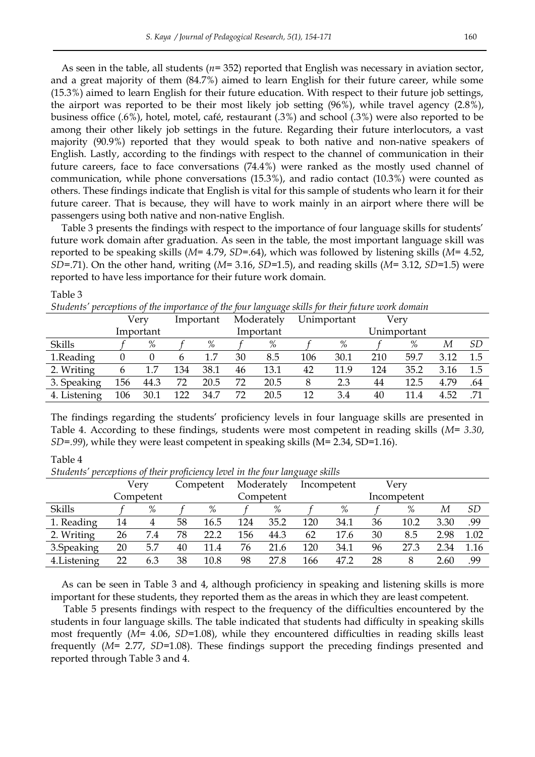As seen in the table, all students (*n*= 352) reported that English was necessary in aviation sector, and a great majority of them (84.7%) aimed to learn English for their future career, while some (15.3%) aimed to learn English for their future education. With respect to their future job settings, the airport was reported to be their most likely job setting (96%), while travel agency (2.8%), business office (.6%), hotel, motel, café, restaurant (.3%) and school (.3%) were also reported to be among their other likely job settings in the future. Regarding their future interlocutors, a vast majority (90.9%) reported that they would speak to both native and non-native speakers of English. Lastly, according to the findings with respect to the channel of communication in their future careers, face to face conversations (74.4%) were ranked as the mostly used channel of communication, while phone conversations (15.3%), and radio contact (10.3%) were counted as others. These findings indicate that English is vital for this sample of students who learn it for their future career. That is because, they will have to work mainly in an airport where there will be passengers using both native and non-native English.

Table 3 presents the findings with respect to the importance of four language skills for students' future work domain after graduation. As seen in the table, the most important language skill was reported to be speaking skills (*M*= 4.79, *SD*=.64), which was followed by listening skills (*M*= 4.52, *SD*=.71). On the other hand, writing (*M*= 3.16, *SD*=1.5), and reading skills (*M*= 3.12, *SD*=1.5) were reported to have less importance for their future work domain.

| <i>ownewo</i><br>perceptions of the importance of the four tanguage sams for their fature work aomain |     |           |     |           |                           |           |     |      |      |             |      |     |
|-------------------------------------------------------------------------------------------------------|-----|-----------|-----|-----------|---------------------------|-----------|-----|------|------|-------------|------|-----|
|                                                                                                       |     | Verv      |     | Important | Moderately<br>Unimportant |           |     |      | Verv |             |      |     |
|                                                                                                       |     | Important |     |           |                           | Important |     |      |      | Unimportant |      |     |
| Skills                                                                                                |     | %         |     | %         |                           | %         |     | %    |      | %           | М    | SD  |
| 1.Reading                                                                                             |     |           | b   | 1.7       | 30                        | 8.5       | 106 | 30.1 | 210  | 59.7        | 3.12 | 1.5 |
| 2. Writing                                                                                            | 6   |           | 134 | 38.1      | 46                        | 13.1      | 42  | 11.9 | 124  | 35.2        | 3.16 | 1.5 |
| 3. Speaking                                                                                           | 156 | 44.3      | 72  | 20.5      | 72                        | 20.5      | 8   | 2.3  | 44   | 12.5        | 4.79 | .64 |
| 4. Listening                                                                                          | 106 | 30.1      | 122 | 34.7      | 72                        | 20.5      | 12  | 3.4  | 40   | 11.4        | 4.52 | .71 |

*Students' perceptions of the importance of the four language skills for their future work domain*

The findings regarding the students' proficiency levels in four language skills are presented in Table 4. According to these findings, students were most competent in reading skills (*M= 3.30*, *SD=.99*), while they were least competent in speaking skills (M= 2.34, SD=1.16).

### Table 4

Table 3

*Students' perceptions of their proficiency level in the four language skills* 

|              |    |           |           |      |     |            | 0<br>$\rightarrow$ |             |      |             |      |           |
|--------------|----|-----------|-----------|------|-----|------------|--------------------|-------------|------|-------------|------|-----------|
|              |    | Very      | Competent |      |     | Moderately |                    | Incompetent | Verv |             |      |           |
|              |    | Competent |           |      |     | Competent  |                    |             |      | Incompetent |      |           |
| Skills       |    | %         |           | %    |     | %          |                    | %           |      | $\%$        | М    | <i>SD</i> |
| 1. Reading   | 14 | 4         | 58        | 16.5 | 124 | 35.2       | 120                | 34.1        | 36   | 10.2        | 3.30 | .99       |
| 2. Writing   | 26 | 7.4       | 78        | 22.2 | 156 | 44.3       | 62                 | 17.6        | 30   | 8.5         | 2.98 | 1.02      |
| 3. Speaking  | 20 | 5.7       | 40        | 11.4 | 76  | 21.6       | 120                | 34.1        | 96   | 27.3        | 2.34 | 1.16      |
| 4. Listening | 22 | 6.3       | 38        | 10.8 | 98  | 27.8       | 166                | 47.2        | 28   |             | 2.60 | .99       |

As can be seen in Table 3 and 4, although proficiency in speaking and listening skills is more important for these students, they reported them as the areas in which they are least competent.

Table 5 presents findings with respect to the frequency of the difficulties encountered by the students in four language skills. The table indicated that students had difficulty in speaking skills most frequently (*M*= 4.06, *SD*=1.08), while they encountered difficulties in reading skills least frequently (*M*= 2.77, *SD*=1.08). These findings support the preceding findings presented and reported through Table 3 and 4.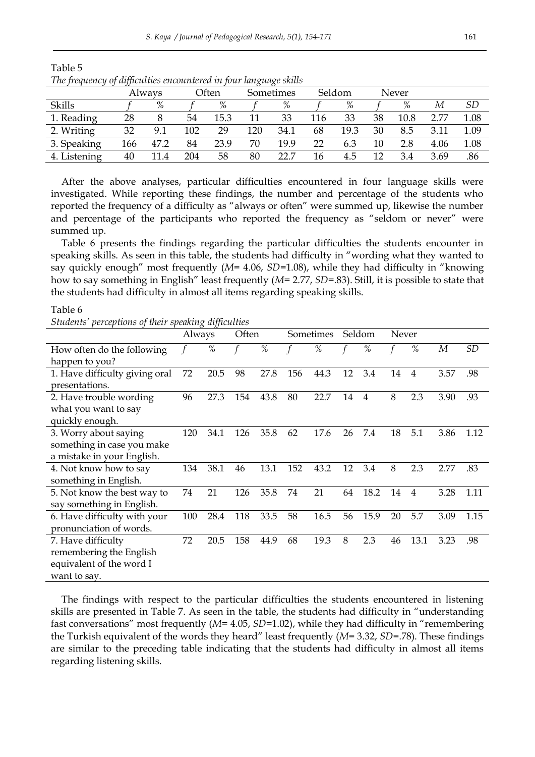| 1.0010000000000<br>$\mathbf{v}$<br>tufficultus checumicien in four uniquinge shine |     |        |     |       |     |           |     |        |    |       |      |      |
|------------------------------------------------------------------------------------|-----|--------|-----|-------|-----|-----------|-----|--------|----|-------|------|------|
|                                                                                    |     | Always |     | Often |     | Sometimes |     | Seldom |    | Never |      |      |
| <b>Skills</b>                                                                      |     | %      |     | %     |     | %         |     | $\%$   |    | $\%$  | М    | SD   |
| 1. Reading                                                                         | 28  |        | 54  | 15.3  |     | 33        | 116 | 33     | 38 | 10.8  | 2.77 | 1.08 |
| 2. Writing                                                                         | 32  | 9.1    | 102 | 29    | 120 | 34.1      | 68  | 19.3   | 30 | 8.5   | 3.11 | 1.09 |
| 3. Speaking                                                                        | 166 | 47.2   | 84  | 23.9  | 70  | 19.9      | 22  | 6.3    | 10 | 2.8   | 4.06 | 1.08 |
| 4. Listening                                                                       | 40  | 11.4   | 204 | 58    | 80  | 22.7      | 16  | 4.5    | 12 | 3.4   | 3.69 | .86  |

Table 5 *The frequency of difficulties encountered in four language skills* 

After the above analyses, particular difficulties encountered in four language skills were investigated. While reporting these findings, the number and percentage of the students who reported the frequency of a difficulty as "always or often" were summed up, likewise the number and percentage of the participants who reported the frequency as "seldom or never" were summed up.

Table 6 presents the findings regarding the particular difficulties the students encounter in speaking skills. As seen in this table, the students had difficulty in "wording what they wanted to say quickly enough" most frequently (*M*= 4.06, *SD*=1.08), while they had difficulty in "knowing how to say something in English" least frequently (*M*= 2.77, *SD*=.83). Still, it is possible to state that the students had difficulty in almost all items regarding speaking skills.

#### Table 6

*Students' perceptions of their speaking difficulties* 

|                                | $\circ$<br>Often<br>Always |      |     | Sometimes | Seldom |      | Never |                |    |                |      |                |
|--------------------------------|----------------------------|------|-----|-----------|--------|------|-------|----------------|----|----------------|------|----------------|
| How often do the following     |                            | $\%$ |     | %         |        | %    |       | %              |    | $\%$           | M    | SD <sub></sub> |
| happen to you?                 |                            |      |     |           |        |      |       |                |    |                |      |                |
| 1. Have difficulty giving oral | 72                         | 20.5 | 98  | 27.8      | 156    | 44.3 | 12    | 3.4            | 14 | 4              | 3.57 | .98            |
| presentations.                 |                            |      |     |           |        |      |       |                |    |                |      |                |
| 2. Have trouble wording        | 96                         | 27.3 | 154 | 43.8      | 80     | 22.7 | 14    | $\overline{4}$ | 8  | 2.3            | 3.90 | .93            |
| what you want to say           |                            |      |     |           |        |      |       |                |    |                |      |                |
| quickly enough.                |                            |      |     |           |        |      |       |                |    |                |      |                |
| 3. Worry about saying          | 120                        | 34.1 | 126 | 35.8      | 62     | 17.6 | 26    | 7.4            | 18 | 5.1            | 3.86 | 1.12           |
| something in case you make     |                            |      |     |           |        |      |       |                |    |                |      |                |
| a mistake in your English.     |                            |      |     |           |        |      |       |                |    |                |      |                |
| 4. Not know how to say         | 134                        | 38.1 | 46  | 13.1      | 152    | 43.2 | 12    | 3.4            | 8  | 2.3            | 2.77 | .83            |
| something in English.          |                            |      |     |           |        |      |       |                |    |                |      |                |
| 5. Not know the best way to    | 74                         | 21   | 126 | 35.8      | 74     | 21   | 64    | 18.2           | 14 | $\overline{4}$ | 3.28 | 1.11           |
| say something in English.      |                            |      |     |           |        |      |       |                |    |                |      |                |
| 6. Have difficulty with your   | 100                        | 28.4 | 118 | 33.5      | 58     | 16.5 | 56    | 15.9           | 20 | 5.7            | 3.09 | 1.15           |
| pronunciation of words.        |                            |      |     |           |        |      |       |                |    |                |      |                |
| 7. Have difficulty             | 72                         | 20.5 | 158 | 44.9      | 68     | 19.3 | 8     | 2.3            | 46 | 13.1           | 3.23 | .98            |
| remembering the English        |                            |      |     |           |        |      |       |                |    |                |      |                |
| equivalent of the word I       |                            |      |     |           |        |      |       |                |    |                |      |                |
| want to say.                   |                            |      |     |           |        |      |       |                |    |                |      |                |

The findings with respect to the particular difficulties the students encountered in listening skills are presented in Table 7. As seen in the table, the students had difficulty in "understanding fast conversations" most frequently (*M*= 4.05, *SD*=1.02), while they had difficulty in "remembering the Turkish equivalent of the words they heard" least frequently (*M*= 3.32, *SD*=.78). These findings are similar to the preceding table indicating that the students had difficulty in almost all items regarding listening skills.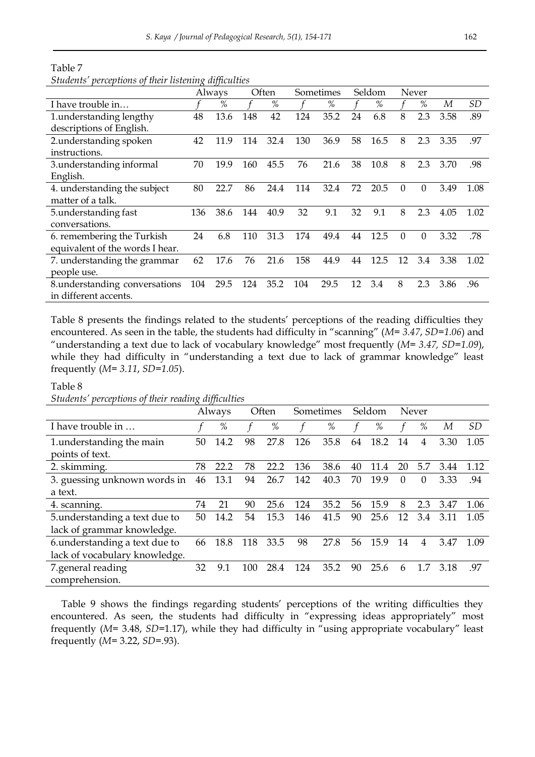Table 7 *Students' perceptions of their listening difficulties*

|                                 | Often<br>Always |      |     | Sometimes |     | Seldom |    | Never |          |          |      |      |
|---------------------------------|-----------------|------|-----|-----------|-----|--------|----|-------|----------|----------|------|------|
| I have trouble in               |                 | %    |     | %         |     | %      |    | %     |          | %        | М    | SD   |
| 1.understanding lengthy         | 48              | 13.6 | 148 | 42        | 124 | 35.2   | 24 | 6.8   | 8        | 2.3      | 3.58 | .89  |
| descriptions of English.        |                 |      |     |           |     |        |    |       |          |          |      |      |
| 2.understanding spoken          | 42              | 11.9 | 114 | 32.4      | 130 | 36.9   | 58 | 16.5  | 8        | 2.3      | 3.35 | .97  |
| instructions.                   |                 |      |     |           |     |        |    |       |          |          |      |      |
| 3.understanding informal        | 70              | 19.9 | 160 | 45.5      | 76  | 21.6   | 38 | 10.8  | 8        | 2.3      | 3.70 | .98  |
| English.                        |                 |      |     |           |     |        |    |       |          |          |      |      |
| 4. understanding the subject    | 80              | 22.7 | 86  | 24.4      | 114 | 32.4   | 72 | 20.5  | $\theta$ | 0        | 3.49 | 1.08 |
| matter of a talk.               |                 |      |     |           |     |        |    |       |          |          |      |      |
| 5.understanding fast            | 136             | 38.6 | 144 | 40.9      | 32  | 9.1    | 32 | 9.1   | 8        | 2.3      | 4.05 | 1.02 |
| conversations.                  |                 |      |     |           |     |        |    |       |          |          |      |      |
| 6. remembering the Turkish      | 24              | 6.8  | 110 | 31.3      | 174 | 49.4   | 44 | 12.5  | $\Omega$ | $\Omega$ | 3.32 | .78  |
| equivalent of the words I hear. |                 |      |     |           |     |        |    |       |          |          |      |      |
| 7. understanding the grammar    | 62              | 17.6 | 76  | 21.6      | 158 | 44.9   | 44 | 12.5  | 12       | 3.4      | 3.38 | 1.02 |
| people use.                     |                 |      |     |           |     |        |    |       |          |          |      |      |
| 8. understanding conversations  | 104             | 29.5 | 124 | 35.2      | 104 | 29.5   | 12 | 3.4   | 8        | 2.3      | 3.86 | .96  |
| in different accents.           |                 |      |     |           |     |        |    |       |          |          |      |      |

Table 8 presents the findings related to the students' perceptions of the reading difficulties they encountered. As seen in the table, the students had difficulty in "scanning" (*M= 3.47*, *SD=1.06*) and "understanding a text due to lack of vocabulary knowledge" most frequently (*M= 3.47, SD=1.09*), while they had difficulty in "understanding a text due to lack of grammar knowledge" least frequently (*M= 3.11*, *SD=1.05*).

#### Table 8

*Students' perceptions of their reading difficulties*

|                                |    | Always |     | Often |     | Sometimes |    | Seldom |          | Never    |      |           |
|--------------------------------|----|--------|-----|-------|-----|-----------|----|--------|----------|----------|------|-----------|
| I have trouble in              |    | %      |     | %     |     | %         |    | %      |          | %        | М    | <i>SD</i> |
| 1. understanding the main      | 50 | 14.2   | 98  | 27.8  | 126 | 35.8      | 64 | 18.2   | 14       | 4        | 3.30 | 1.05      |
| points of text.                |    |        |     |       |     |           |    |        |          |          |      |           |
| 2. skimming.                   | 78 | 22.2   | 78  | 22.2  | 136 | 38.6      | 40 | 11.4   | 20       | 5.7      | 3.44 | 1.12      |
| 3. guessing unknown words in   | 46 | 13.1   | 94  | 26.7  | 142 | 40.3      | 70 | 19.9   | $\Omega$ | $\Omega$ | 3.33 | .94       |
| a text.                        |    |        |     |       |     |           |    |        |          |          |      |           |
| 4. scanning.                   | 74 | 21     | 90  | 25.6  | 124 | 35.2      | 56 | 15.9   | 8        | 2.3      | 3.47 | 1.06      |
| 5. understanding a text due to | 50 | 14.2   | 54  | 15.3  | 146 | 41.5      | 90 | 25.6   | 12       | 3.4      | 3.11 | 1.05      |
| lack of grammar knowledge.     |    |        |     |       |     |           |    |        |          |          |      |           |
| 6.understanding a text due to  | 66 | 18.8   | 118 | 33.5  | 98  | 27.8      | 56 | 15.9   | 14       | 4        | 3.47 | 1.09      |
| lack of vocabulary knowledge.  |    |        |     |       |     |           |    |        |          |          |      |           |
| 7.general reading              | 32 | 9.1    | 100 | 28.4  | 124 | 35.2      | 90 | 25.6   | 6        | 1.7      | 3.18 | .97       |
| comprehension.                 |    |        |     |       |     |           |    |        |          |          |      |           |

Table 9 shows the findings regarding students' perceptions of the writing difficulties they encountered. As seen, the students had difficulty in "expressing ideas appropriately" most frequently (*M*= 3.48, *SD*=1.17), while they had difficulty in "using appropriate vocabulary" least frequently (*M*= 3.22, *SD*=.93).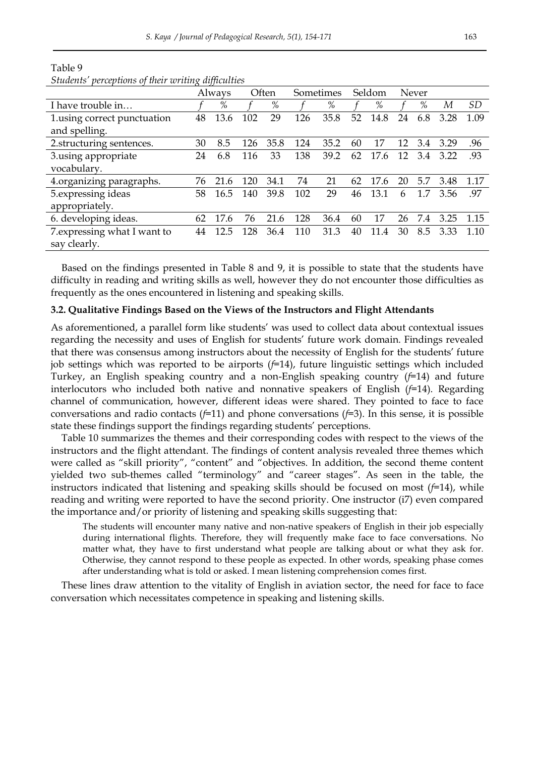| $\sim$<br>.                  |    |        |     |       |     |           |    |           |    |       |      |           |
|------------------------------|----|--------|-----|-------|-----|-----------|----|-----------|----|-------|------|-----------|
|                              |    | Always |     | Often |     | Sometimes |    | Seldom    |    | Never |      |           |
| I have trouble in            |    | %      |     | %     |     | %         |    | %         |    | %     | М    | <i>SD</i> |
| 1. using correct punctuation | 48 | 13.6   | 102 | 29    | 126 | 35.8      | 52 | 14.8      | 24 | 6.8   | 3.28 | 1.09      |
| and spelling.                |    |        |     |       |     |           |    |           |    |       |      |           |
| 2.structuring sentences.     | 30 | 8.5    | 126 | 35.8  | 124 | 35.2      | 60 | 17        | 12 | 3.4   | 3.29 | .96       |
| 3.using appropriate          | 24 | 6.8    | 116 | 33    | 138 | 39.2      | 62 | 17.<br>.6 | 12 | 3.4   | 3.22 | .93       |
| vocabulary.                  |    |        |     |       |     |           |    |           |    |       |      |           |
| 4.organizing paragraphs.     | 76 | 21.6   | 120 | 34.1  | 74  | 21        | 62 | 17.6      | 20 | 5.7   | 3.48 | 1.17      |
| 5. expressing ideas          | 58 | 16.5   | 140 | 39.8  | 102 | 29        | 46 | 13.1      | 6  | 1.7   | 3.56 | .97       |
| appropriately.               |    |        |     |       |     |           |    |           |    |       |      |           |
| 6. developing ideas.         | 62 | 17.6   | 76  | 21.6  | 128 | 36.4      | 60 | 17        | 26 | 7.4   | 3.25 | 1.15      |
| 7. expressing what I want to | 44 | 12.5   | 128 | 36.4  | 110 | 31.3      | 40 | 11.4      | 30 | 8.5   | 3.33 | 1.10      |
| say clearly.                 |    |        |     |       |     |           |    |           |    |       |      |           |

Table 9 *Students' perceptions of their writing difficulties*

Based on the findings presented in Table 8 and 9, it is possible to state that the students have difficulty in reading and writing skills as well, however they do not encounter those difficulties as frequently as the ones encountered in listening and speaking skills.

#### **3.2. Qualitative Findings Based on the Views of the Instructors and Flight Attendants**

As aforementioned, a parallel form like students' was used to collect data about contextual issues regarding the necessity and uses of English for students' future work domain. Findings revealed that there was consensus among instructors about the necessity of English for the students' future job settings which was reported to be airports (*f*=14), future linguistic settings which included Turkey, an English speaking country and a non-English speaking country (*f*=14) and future interlocutors who included both native and nonnative speakers of English (*f*=14). Regarding channel of communication, however, different ideas were shared. They pointed to face to face conversations and radio contacts (*f*=11) and phone conversations (*f*=3). In this sense, it is possible state these findings support the findings regarding students' perceptions.

Table 10 summarizes the themes and their corresponding codes with respect to the views of the instructors and the flight attendant. The findings of content analysis revealed three themes which were called as "skill priority", "content" and "objectives. In addition, the second theme content yielded two sub-themes called "terminology" and "career stages". As seen in the table, the instructors indicated that listening and speaking skills should be focused on most  $(f=14)$ , while reading and writing were reported to have the second priority. One instructor (i7) even compared the importance and/or priority of listening and speaking skills suggesting that:

The students will encounter many native and non-native speakers of English in their job especially during international flights. Therefore, they will frequently make face to face conversations. No matter what, they have to first understand what people are talking about or what they ask for. Otherwise, they cannot respond to these people as expected. In other words, speaking phase comes after understanding what is told or asked. I mean listening comprehension comes first.

These lines draw attention to the vitality of English in aviation sector, the need for face to face conversation which necessitates competence in speaking and listening skills.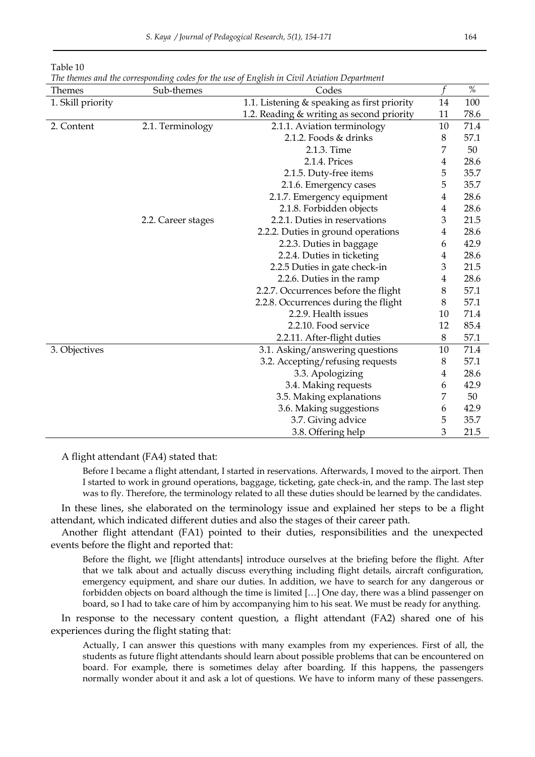| Themes            | Sub-themes         | Codes                                       | f              | $\%$ |
|-------------------|--------------------|---------------------------------------------|----------------|------|
| 1. Skill priority |                    | 1.1. Listening & speaking as first priority | 14             | 100  |
|                   |                    | 1.2. Reading & writing as second priority   | 11             | 78.6 |
| 2. Content        | 2.1. Terminology   | 2.1.1. Aviation terminology                 | 10             | 71.4 |
|                   |                    | 2.1.2. Foods & drinks                       | 8              | 57.1 |
|                   |                    | 2.1.3. Time                                 | 7              | 50   |
|                   |                    | 2.1.4. Prices                               | $\overline{4}$ | 28.6 |
|                   |                    | 2.1.5. Duty-free items                      | 5              | 35.7 |
|                   |                    | 2.1.6. Emergency cases                      | 5              | 35.7 |
|                   |                    | 2.1.7. Emergency equipment                  | $\overline{4}$ | 28.6 |
|                   |                    | 2.1.8. Forbidden objects                    | $\overline{4}$ | 28.6 |
|                   | 2.2. Career stages | 2.2.1. Duties in reservations               | 3              | 21.5 |
|                   |                    | 2.2.2. Duties in ground operations          | 4              | 28.6 |
|                   |                    | 2.2.3. Duties in baggage                    | 6              | 42.9 |
|                   |                    | 2.2.4. Duties in ticketing                  | 4              | 28.6 |
|                   |                    | 2.2.5 Duties in gate check-in               | 3              | 21.5 |
|                   |                    | 2.2.6. Duties in the ramp                   | 4              | 28.6 |
|                   |                    | 2.2.7. Occurrences before the flight        | 8              | 57.1 |
|                   |                    | 2.2.8. Occurrences during the flight        | 8              | 57.1 |
|                   |                    | 2.2.9. Health issues                        | 10             | 71.4 |
|                   |                    | 2.2.10. Food service                        | 12             | 85.4 |
|                   |                    | 2.2.11. After-flight duties                 | 8              | 57.1 |
| 3. Objectives     |                    | 3.1. Asking/answering questions             | 10             | 71.4 |
|                   |                    | 3.2. Accepting/refusing requests            | 8              | 57.1 |
|                   |                    | 3.3. Apologizing                            | 4              | 28.6 |
|                   |                    | 3.4. Making requests                        | 6              | 42.9 |
|                   |                    | 3.5. Making explanations                    | 7              | 50   |
|                   |                    | 3.6. Making suggestions                     | 6              | 42.9 |
|                   |                    | 3.7. Giving advice                          | 5              | 35.7 |
|                   |                    | 3.8. Offering help                          | 3              | 21.5 |

Table 10

*The themes and the corresponding codes for the use of English in Civil Aviation Department* 

A flight attendant (FA4) stated that:

Before I became a flight attendant, I started in reservations. Afterwards, I moved to the airport. Then I started to work in ground operations, baggage, ticketing, gate check-in, and the ramp. The last step was to fly. Therefore, the terminology related to all these duties should be learned by the candidates.

In these lines, she elaborated on the terminology issue and explained her steps to be a flight attendant, which indicated different duties and also the stages of their career path.

Another flight attendant (FA1) pointed to their duties, responsibilities and the unexpected events before the flight and reported that:

Before the flight, we [flight attendants] introduce ourselves at the briefing before the flight. After that we talk about and actually discuss everything including flight details, aircraft configuration, emergency equipment, and share our duties. In addition, we have to search for any dangerous or forbidden objects on board although the time is limited […] One day, there was a blind passenger on board, so I had to take care of him by accompanying him to his seat. We must be ready for anything.

In response to the necessary content question, a flight attendant (FA2) shared one of his experiences during the flight stating that:

Actually, I can answer this questions with many examples from my experiences. First of all, the students as future flight attendants should learn about possible problems that can be encountered on board. For example, there is sometimes delay after boarding. If this happens, the passengers normally wonder about it and ask a lot of questions. We have to inform many of these passengers.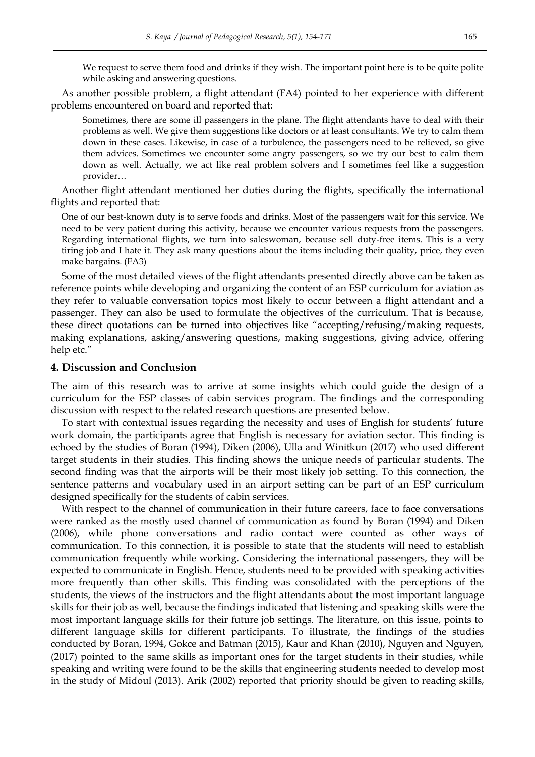We request to serve them food and drinks if they wish. The important point here is to be quite polite while asking and answering questions.

As another possible problem, a flight attendant (FA4) pointed to her experience with different problems encountered on board and reported that:

Sometimes, there are some ill passengers in the plane. The flight attendants have to deal with their problems as well. We give them suggestions like doctors or at least consultants. We try to calm them down in these cases. Likewise, in case of a turbulence, the passengers need to be relieved, so give them advices. Sometimes we encounter some angry passengers, so we try our best to calm them down as well. Actually, we act like real problem solvers and I sometimes feel like a suggestion provider…

Another flight attendant mentioned her duties during the flights, specifically the international flights and reported that:

One of our best-known duty is to serve foods and drinks. Most of the passengers wait for this service. We need to be very patient during this activity, because we encounter various requests from the passengers. Regarding international flights, we turn into saleswoman, because sell duty-free items. This is a very tiring job and I hate it. They ask many questions about the items including their quality, price, they even make bargains. (FA3)

Some of the most detailed views of the flight attendants presented directly above can be taken as reference points while developing and organizing the content of an ESP curriculum for aviation as they refer to valuable conversation topics most likely to occur between a flight attendant and a passenger. They can also be used to formulate the objectives of the curriculum. That is because, these direct quotations can be turned into objectives like "accepting/refusing/making requests, making explanations, asking/answering questions, making suggestions, giving advice, offering help etc."

### **4. Discussion and Conclusion**

The aim of this research was to arrive at some insights which could guide the design of a curriculum for the ESP classes of cabin services program. The findings and the corresponding discussion with respect to the related research questions are presented below.

To start with contextual issues regarding the necessity and uses of English for students' future work domain, the participants agree that English is necessary for aviation sector. This finding is echoed by the studies of Boran (1994), Diken (2006), Ulla and Winitkun (2017) who used different target students in their studies. This finding shows the unique needs of particular students. The second finding was that the airports will be their most likely job setting. To this connection, the sentence patterns and vocabulary used in an airport setting can be part of an ESP curriculum designed specifically for the students of cabin services.

With respect to the channel of communication in their future careers, face to face conversations were ranked as the mostly used channel of communication as found by Boran (1994) and Diken (2006), while phone conversations and radio contact were counted as other ways of communication. To this connection, it is possible to state that the students will need to establish communication frequently while working. Considering the international passengers, they will be expected to communicate in English. Hence, students need to be provided with speaking activities more frequently than other skills. This finding was consolidated with the perceptions of the students, the views of the instructors and the flight attendants about the most important language skills for their job as well, because the findings indicated that listening and speaking skills were the most important language skills for their future job settings. The literature, on this issue, points to different language skills for different participants. To illustrate, the findings of the studies conducted by Boran, 1994, Gokce and Batman (2015), Kaur and Khan (2010), Nguyen and Nguyen, (2017) pointed to the same skills as important ones for the target students in their studies, while speaking and writing were found to be the skills that engineering students needed to develop most in the study of Midoul (2013). Arik (2002) reported that priority should be given to reading skills,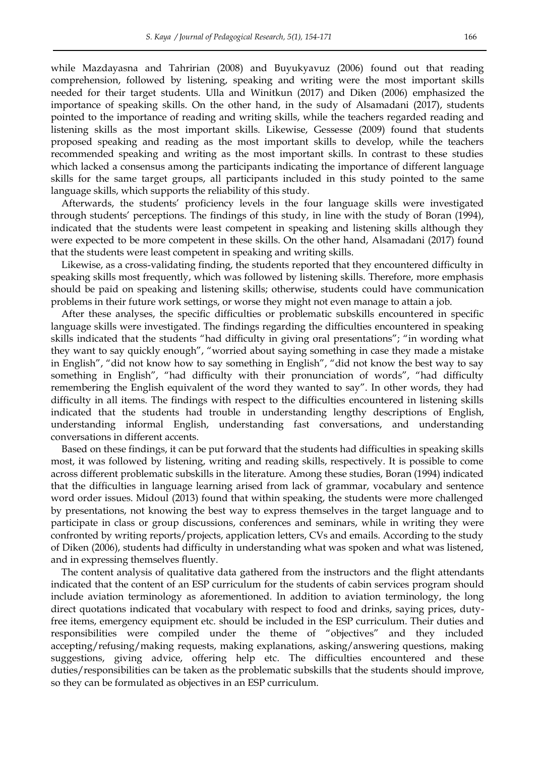while Mazdayasna and Tahririan (2008) and Buyukyavuz (2006) found out that reading comprehension, followed by listening, speaking and writing were the most important skills needed for their target students. Ulla and Winitkun (2017) and Diken (2006) emphasized the importance of speaking skills. On the other hand, in the sudy of Alsamadani (2017), students pointed to the importance of reading and writing skills, while the teachers regarded reading and listening skills as the most important skills. Likewise, Gessesse (2009) found that students proposed speaking and reading as the most important skills to develop, while the teachers recommended speaking and writing as the most important skills. In contrast to these studies which lacked a consensus among the participants indicating the importance of different language skills for the same target groups, all participants included in this study pointed to the same language skills, which supports the reliability of this study.

Afterwards, the students' proficiency levels in the four language skills were investigated through students' perceptions. The findings of this study, in line with the study of Boran (1994), indicated that the students were least competent in speaking and listening skills although they were expected to be more competent in these skills. On the other hand, Alsamadani (2017) found that the students were least competent in speaking and writing skills.

Likewise, as a cross-validating finding, the students reported that they encountered difficulty in speaking skills most frequently, which was followed by listening skills. Therefore, more emphasis should be paid on speaking and listening skills; otherwise, students could have communication problems in their future work settings, or worse they might not even manage to attain a job.

After these analyses, the specific difficulties or problematic subskills encountered in specific language skills were investigated. The findings regarding the difficulties encountered in speaking skills indicated that the students "had difficulty in giving oral presentations"; "in wording what they want to say quickly enough", "worried about saying something in case they made a mistake in English", "did not know how to say something in English", "did not know the best way to say something in English", "had difficulty with their pronunciation of words", "had difficulty remembering the English equivalent of the word they wanted to say". In other words, they had difficulty in all items. The findings with respect to the difficulties encountered in listening skills indicated that the students had trouble in understanding lengthy descriptions of English, understanding informal English, understanding fast conversations, and understanding conversations in different accents.

Based on these findings, it can be put forward that the students had difficulties in speaking skills most, it was followed by listening, writing and reading skills, respectively. It is possible to come across different problematic subskills in the literature. Among these studies, Boran (1994) indicated that the difficulties in language learning arised from lack of grammar, vocabulary and sentence word order issues. Midoul (2013) found that within speaking, the students were more challenged by presentations, not knowing the best way to express themselves in the target language and to participate in class or group discussions, conferences and seminars, while in writing they were confronted by writing reports/projects, application letters, CVs and emails. According to the study of Diken (2006), students had difficulty in understanding what was spoken and what was listened, and in expressing themselves fluently.

The content analysis of qualitative data gathered from the instructors and the flight attendants indicated that the content of an ESP curriculum for the students of cabin services program should include aviation terminology as aforementioned. In addition to aviation terminology, the long direct quotations indicated that vocabulary with respect to food and drinks, saying prices, dutyfree items, emergency equipment etc. should be included in the ESP curriculum. Their duties and responsibilities were compiled under the theme of "objectives" and they included accepting/refusing/making requests, making explanations, asking/answering questions, making suggestions, giving advice, offering help etc. The difficulties encountered and these duties/responsibilities can be taken as the problematic subskills that the students should improve, so they can be formulated as objectives in an ESP curriculum.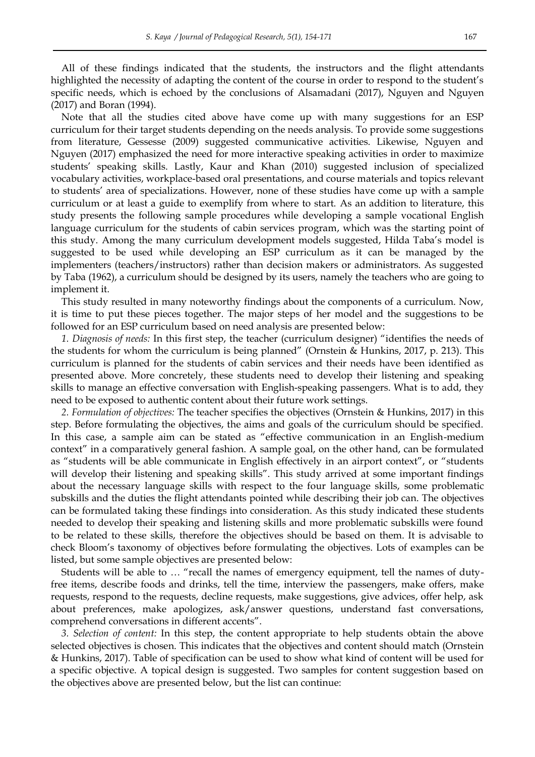All of these findings indicated that the students, the instructors and the flight attendants highlighted the necessity of adapting the content of the course in order to respond to the student's specific needs, which is echoed by the conclusions of Alsamadani (2017), Nguyen and Nguyen (2017) and Boran (1994).

Note that all the studies cited above have come up with many suggestions for an ESP curriculum for their target students depending on the needs analysis. To provide some suggestions from literature, Gessesse (2009) suggested communicative activities. Likewise, Nguyen and Nguyen (2017) emphasized the need for more interactive speaking activities in order to maximize students' speaking skills. Lastly, Kaur and Khan (2010) suggested inclusion of specialized vocabulary activities, workplace-based oral presentations, and course materials and topics relevant to students' area of specializations. However, none of these studies have come up with a sample curriculum or at least a guide to exemplify from where to start. As an addition to literature, this study presents the following sample procedures while developing a sample vocational English language curriculum for the students of cabin services program, which was the starting point of this study. Among the many curriculum development models suggested, Hilda Taba's model is suggested to be used while developing an ESP curriculum as it can be managed by the implementers (teachers/instructors) rather than decision makers or administrators. As suggested by Taba (1962), a curriculum should be designed by its users, namely the teachers who are going to implement it.

This study resulted in many noteworthy findings about the components of a curriculum. Now, it is time to put these pieces together. The major steps of her model and the suggestions to be followed for an ESP curriculum based on need analysis are presented below:

*1. Diagnosis of needs:* In this first step, the teacher (curriculum designer) "identifies the needs of the students for whom the curriculum is being planned" (Ornstein & Hunkins, 2017, p. 213). This curriculum is planned for the students of cabin services and their needs have been identified as presented above. More concretely, these students need to develop their listening and speaking skills to manage an effective conversation with English-speaking passengers. What is to add, they need to be exposed to authentic content about their future work settings.

*2. Formulation of objectives:* The teacher specifies the objectives (Ornstein & Hunkins, 2017) in this step. Before formulating the objectives, the aims and goals of the curriculum should be specified. In this case, a sample aim can be stated as "effective communication in an English-medium context" in a comparatively general fashion. A sample goal, on the other hand, can be formulated as "students will be able communicate in English effectively in an airport context", or "students will develop their listening and speaking skills". This study arrived at some important findings about the necessary language skills with respect to the four language skills, some problematic subskills and the duties the flight attendants pointed while describing their job can. The objectives can be formulated taking these findings into consideration. As this study indicated these students needed to develop their speaking and listening skills and more problematic subskills were found to be related to these skills, therefore the objectives should be based on them. It is advisable to check Bloom's taxonomy of objectives before formulating the objectives. Lots of examples can be listed, but some sample objectives are presented below:

Students will be able to … "recall the names of emergency equipment, tell the names of dutyfree items, describe foods and drinks, tell the time, interview the passengers, make offers, make requests, respond to the requests, decline requests, make suggestions, give advices, offer help, ask about preferences, make apologizes, ask/answer questions, understand fast conversations, comprehend conversations in different accents".

*3. Selection of content:* In this step, the content appropriate to help students obtain the above selected objectives is chosen. This indicates that the objectives and content should match (Ornstein & Hunkins, 2017). Table of specification can be used to show what kind of content will be used for a specific objective. A topical design is suggested. Two samples for content suggestion based on the objectives above are presented below, but the list can continue: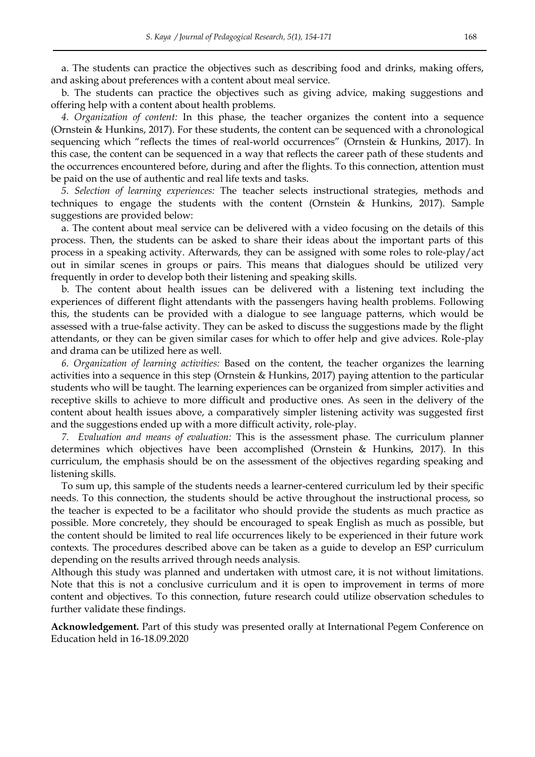a. The students can practice the objectives such as describing food and drinks, making offers, and asking about preferences with a content about meal service.

b. The students can practice the objectives such as giving advice, making suggestions and offering help with a content about health problems.

*4. Organization of content:* In this phase, the teacher organizes the content into a sequence (Ornstein & Hunkins, 2017). For these students, the content can be sequenced with a chronological sequencing which "reflects the times of real-world occurrences" (Ornstein & Hunkins, 2017). In this case, the content can be sequenced in a way that reflects the career path of these students and the occurrences encountered before, during and after the flights. To this connection, attention must be paid on the use of authentic and real life texts and tasks.

*5. Selection of learning experiences:* The teacher selects instructional strategies, methods and techniques to engage the students with the content (Ornstein & Hunkins, 2017). Sample suggestions are provided below:

a. The content about meal service can be delivered with a video focusing on the details of this process. Then, the students can be asked to share their ideas about the important parts of this process in a speaking activity. Afterwards, they can be assigned with some roles to role-play/act out in similar scenes in groups or pairs. This means that dialogues should be utilized very frequently in order to develop both their listening and speaking skills.

b. The content about health issues can be delivered with a listening text including the experiences of different flight attendants with the passengers having health problems. Following this, the students can be provided with a dialogue to see language patterns, which would be assessed with a true-false activity. They can be asked to discuss the suggestions made by the flight attendants, or they can be given similar cases for which to offer help and give advices. Role-play and drama can be utilized here as well.

*6. Organization of learning activities:* Based on the content, the teacher organizes the learning activities into a sequence in this step (Ornstein & Hunkins, 2017) paying attention to the particular students who will be taught. The learning experiences can be organized from simpler activities and receptive skills to achieve to more difficult and productive ones. As seen in the delivery of the content about health issues above, a comparatively simpler listening activity was suggested first and the suggestions ended up with a more difficult activity, role-play.

*7. Evaluation and means of evaluation:* This is the assessment phase. The curriculum planner determines which objectives have been accomplished (Ornstein & Hunkins, 2017). In this curriculum, the emphasis should be on the assessment of the objectives regarding speaking and listening skills.

To sum up, this sample of the students needs a learner-centered curriculum led by their specific needs. To this connection, the students should be active throughout the instructional process, so the teacher is expected to be a facilitator who should provide the students as much practice as possible. More concretely, they should be encouraged to speak English as much as possible, but the content should be limited to real life occurrences likely to be experienced in their future work contexts. The procedures described above can be taken as a guide to develop an ESP curriculum depending on the results arrived through needs analysis.

Although this study was planned and undertaken with utmost care, it is not without limitations. Note that this is not a conclusive curriculum and it is open to improvement in terms of more content and objectives. To this connection, future research could utilize observation schedules to further validate these findings.

**Acknowledgement.** Part of this study was presented orally at International Pegem Conference on Education held in 16-18.09.2020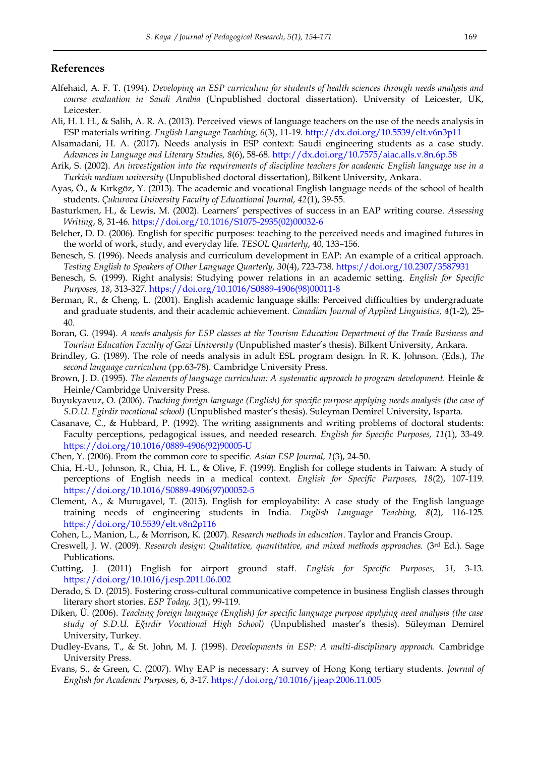### **References**

- Alfehaid, A. F. T. (1994). *Developing an ESP curriculum for students of health sciences through needs analysis and course evaluation in Saudi Arabia* (Unpublished doctoral dissertation). University of Leicester, UK, Leicester.
- Ali, H. I. H., & Salih, A. R. A. (2013). Perceived views of language teachers on the use of the needs analysis in ESP materials writing. *English Language Teaching, 6*(3), 11-19.<http://dx.doi.org/10.5539/elt.v6n3p11>
- Alsamadani, H. A. (2017). Needs analysis in ESP context: Saudi engineering students as a case study. *Advances in Language and Literary Studies, 8*(6), 58-68.<http://dx.doi.org/10.7575/aiac.alls.v.8n.6p.58>
- Arik, S. (2002). *An investigation into the requirements of discipline teachers for academic English language use in a Turkish medium university* (Unpublished doctoral dissertation), Bilkent University, Ankara.
- Ayas, Ö., & Kırkgöz, Y. (2013). The academic and vocational English language needs of the school of health students. *Çukurova University Faculty of Educational Journal, 42*(1), 39-55.
- Basturkmen, H., & Lewis, M. (2002). Learners' perspectives of success in an EAP writing course. *Assessing Writing*, 8, 31-46. [https://doi.org/10.1016/S1075-2935\(02\)00032-6](https://doi.org/10.1016/S1075-2935(02)00032-6)
- Belcher, D. D. (2006). English for specific purposes: teaching to the perceived needs and imagined futures in the world of work, study, and everyday life. *TESOL Quarterly*, 40, 133–156.
- Benesch, S. (1996). Needs analysis and curriculum development in EAP: An example of a critical approach. *Testing English to Speakers of Other Language Quarterly, 30*(4), 723-738.<https://doi.org/10.2307/3587931>
- Benesch, S. (1999). Right analysis: Studying power relations in an academic setting. *English for Specific Purposes, 18*, 313-327. [https://doi.org/10.1016/S0889-4906\(98\)00011-8](https://doi.org/10.1016/S0889-4906(98)00011-8)
- Berman, R., & Cheng, L. (2001). English academic language skills: Perceived difficulties by undergraduate and graduate students, and their academic achievement. *Canadian Journal of Applied Linguistics, 4*(1-2), 25- 40.
- Boran, G. (1994). *A needs analysis for ESP classes at the Tourism Education Department of the Trade Business and Tourism Education Faculty of Gazi University* (Unpublished master's thesis). Bilkent University, Ankara.
- Brindley, G. (1989). The role of needs analysis in adult ESL program design. In R. K. Johnson. (Eds.), *The second language curriculum* (pp.63-78). Cambridge University Press.
- Brown, J. D. (1995). *The elements of language curriculum: A systematic approach to program development.* Heinle & Heinle/Cambridge University Press.
- Buyukyavuz, O. (2006). *Teaching foreign language (English) for specific purpose applying needs analysis (the case of S.D.U. Egirdir vocational school)* (Unpublished master's thesis). Suleyman Demirel University, Isparta.
- Casanave, C., & Hubbard, P. (1992). The writing assignments and writing problems of doctoral students: Faculty perceptions, pedagogical issues, and needed research. *English for Specific Purposes, 11*(1), 33-49. [https://doi.org/10.1016/0889-4906\(92\)90005-U](https://doi.org/10.1016/0889-4906(92)90005-U)
- Chen, Y. (2006). From the common core to specific. *Asian ESP Journal, 1*(3), 24-50.
- Chia, H.-U., Johnson, R., Chia, H. L., & Olive, F. (1999). English for college students in Taiwan: A study of perceptions of English needs in a medical context. *English for Specific Purposes, 18*(2), 107-119. [https://doi.org/10.1016/S0889-4906\(97\)00052-5](https://doi.org/10.1016/S0889-4906(97)00052-5)
- Clement, A., & Murugavel, T. (2015). English for employability: A case study of the English language training needs of engineering students in India. *English Language Teaching, 8*(2), 116-125. <https://doi.org/10.5539/elt.v8n2p116>
- Cohen, L., Manion, L., & Morrison, K. (2007). *Research methods in education*. Taylor and Francis Group.
- Creswell, J. W. (2009). *Research design: Qualitative, quantitative, and mixed methods approaches.* (3rd Ed.). Sage Publications.
- Cutting, J. (2011) English for airport ground staff. *English for Specific Purposes, 31,* 3-13. <https://doi.org/10.1016/j.esp.2011.06.002>
- Derado, S. D. (2015). Fostering cross-cultural communicative competence in business English classes through literary short stories. *ESP Today, 3*(1), 99-119.
- Diken, Ü. (2006). *Teaching foreign language (English) for specific language purpose applying need analysis (the case study of S.D.U. Eğirdir Vocational High School)* (Unpublished master's thesis). Süleyman Demirel University, Turkey.
- Dudley-Evans, T., & St. John, M. J. (1998). *Developments in ESP: A multi-disciplinary approach.* Cambridge University Press.
- Evans, S., & Green, C. (2007). Why EAP is necessary: A survey of Hong Kong tertiary students. *Journal of English for Academic Purposes*, 6, 3-17.<https://doi.org/10.1016/j.jeap.2006.11.005>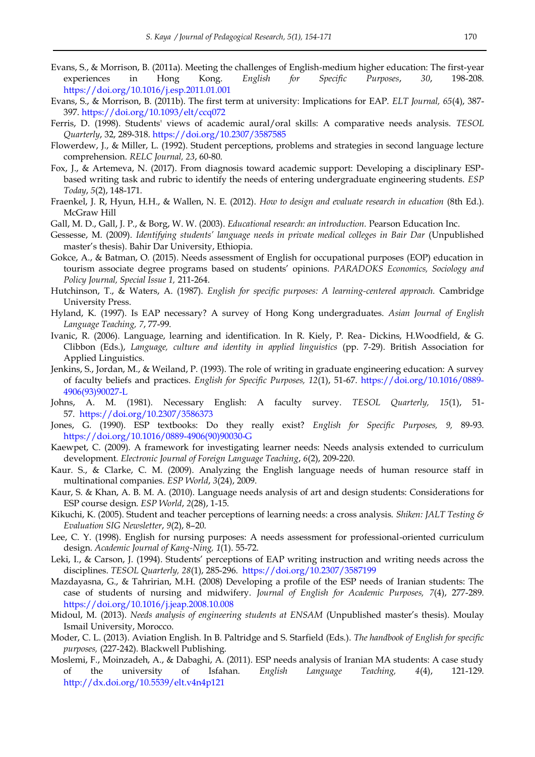- Evans, S., & Morrison, B. (2011a). Meeting the challenges of English-medium higher education: The first-year experiences in Hong Kong. *English for Specific Purposes*, *30*, 198-208. <https://doi.org/10.1016/j.esp.2011.01.001>
- Evans, S., & Morrison, B. (2011b). The first term at university: Implications for EAP. *ELT Journal, 65*(4), 387- 397.<https://doi.org/10.1093/elt/ccq072>
- Ferris, D. (1998). Students' views of academic aural/oral skills: A comparative needs analysis. *TESOL Quarterly*, 32, 289-318.<https://doi.org/10.2307/3587585>
- Flowerdew, J., & Miller, L. (1992). Student perceptions, problems and strategies in second language lecture comprehension. *RELC Journal, 23*, 60-80.
- Fox, J., & Artemeva, N. (2017). From diagnosis toward academic support: Developing a disciplinary ESPbased writing task and rubric to identify the needs of entering undergraduate engineering students. *ESP Today*, *5*(2), 148-171.
- Fraenkel, J. R, Hyun, H.H., & Wallen, N. E. (2012). *How to design and evaluate research in education* (8th Ed.). McGraw Hill
- Gall, M. D., Gall, J. P., & Borg, W. W. (2003). *Educational research: an introduction.* Pearson Education Inc.
- Gessesse, M. (2009). *Identifying students' language needs in private medical colleges in Bair Dar* (Unpublished master's thesis). Bahir Dar University, Ethiopia.
- Gokce, A., & Batman, O. (2015). Needs assessment of English for occupational purposes (EOP) education in tourism associate degree programs based on students' opinions. *PARADOKS Economics, Sociology and Policy Journal, Special Issue 1,* 211-264.
- Hutchinson, T., & Waters, A. (1987). *English for specific purposes: A learning-centered approach.* Cambridge University Press.
- Hyland, K. (1997). Is EAP necessary? A survey of Hong Kong undergraduates. *Asian Journal of English Language Teaching, 7*, 77-99.
- Ivanic, R. (2006). Language, learning and identification. In R. Kiely, P. Rea- Dickins, H.Woodfield, & G. Clibbon (Eds.), *Language, culture and identity in applied linguistics* (pp. 7-29). British Association for Applied Linguistics.
- Jenkins, S., Jordan, M., & Weiland, P. (1993). The role of writing in graduate engineering education: A survey of faculty beliefs and practices. *English for Specific Purposes, 12*(1), 51-67. [https://doi.org/10.1016/0889-](https://doi.org/10.1016/0889-4906(93)90027-L) [4906\(93\)90027-L](https://doi.org/10.1016/0889-4906(93)90027-L)
- Johns, A. M. (1981). Necessary English: A faculty survey. *TESOL Quarterly, 15*(1), 51- 57. <https://doi.org/10.2307/3586373>
- Jones, G. (1990). ESP textbooks: Do they really exist? *English for Specific Purposes, 9,* 89-93. [https://doi.org/10.1016/0889-4906\(90\)90030-G](https://doi.org/10.1016/0889-4906(90)90030-G)
- Kaewpet, C. (2009). A framework for investigating learner needs: Needs analysis extended to curriculum development. *Electronic Journal of Foreign Language Teaching*, *6*(2), 209-220.
- Kaur. S., & Clarke, C. M. (2009). Analyzing the English language needs of human resource staff in multinational companies*. ESP World*, *3*(24), 2009.
- Kaur, S. & Khan, A. B. M. A. (2010). Language needs analysis of art and design students: Considerations for ESP course design. *ESP World*, *2*(28), 1-15.
- Kikuchi, K. (2005). Student and teacher perceptions of learning needs: a cross analysis. *Shiken: JALT Testing & Evaluation SIG Newsletter*, *9*(2), 8–20.
- Lee, C. Y. (1998). English for nursing purposes: A needs assessment for professional-oriented curriculum design. *Academic Journal of Kang-Ning, 1*(1). 55-72.
- Leki, I., & Carson, J. (1994). Students' perceptions of EAP writing instruction and writing needs across the disciplines. *TESOL Quarterly, 28*(1), 285-296. <https://doi.org/10.2307/3587199>
- Mazdayasna, G., & Tahririan, M.H. (2008) Developing a profile of the ESP needs of Iranian students: The case of students of nursing and midwifery. *Journal of English for Academic Purposes, 7*(4), 277-289. <https://doi.org/10.1016/j.jeap.2008.10.008>
- Midoul, M. (2013). *Needs analysis of engineering students at ENSAM* (Unpublished master's thesis). Moulay Ismail University, Morocco.
- Moder, C. L. (2013). Aviation English. In B. Paltridge and S. Starfield (Eds.). *The handbook of English for specific purposes,* (227-242). Blackwell Publishing.
- Moslemi, F., Moinzadeh, A., & Dabaghi, A. (2011). ESP needs analysis of Iranian MA students: A case study of the university of Isfahan. *English Language Teaching, 4*(4), 121-129. <http://dx.doi.org/10.5539/elt.v4n4p121>